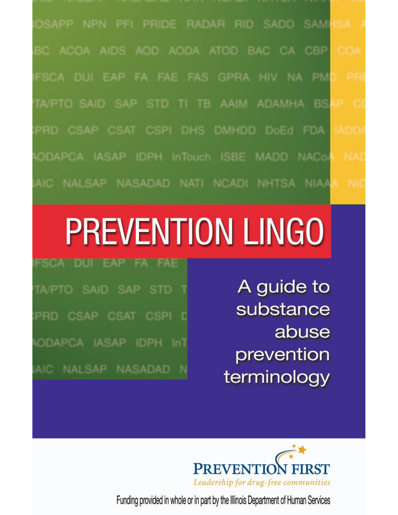OSAPP NPN PFI PRIDE RADAR RID SADD SAMI BC ACOA AIDS AOD AODA ATOD BAC CA CBP FSCA DUI EAP FA FAE FAS GPRA HIV NA PM TA/PTO SAID SAP STD TI TB AAIM ADAMHA BS PRD CSAP CSAT CSPI DHS DMHDD DoEd FDA ODAPCA IASAP IDPH InTouch ISBE MADD NACo/ AIC NALSAP NASADAD NATI NCADI NHTSA NIAA

# **PREVENTION LINGO**

TA/PTO SAID SAP STD

PRD CSAP CSAT CSPI

ODAPCA IASAP IDPH InT

AIC NALSAP NASADAD

A guide to substance abuse prevention terminology



Funding provided in whole or in part by the Illinois Department of Human Services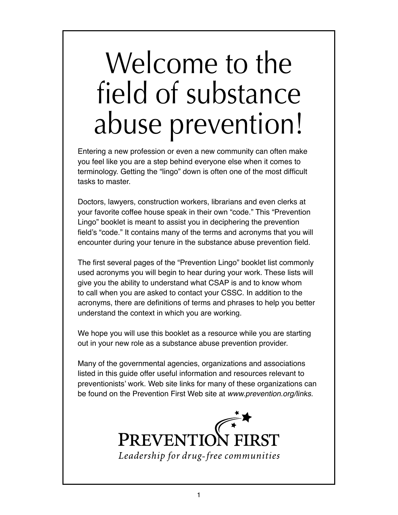## Welcome to the field of substance abuse prevention!

Entering a new profession or even a new community can often make you feel like you are a step behind everyone else when it comes to terminology. Getting the "lingo" down is often one of the most difficult tasks to master.

Doctors, lawyers, construction workers, librarians and even clerks at your favorite coffee house speak in their own "code." This "Prevention Lingo" booklet is meant to assist you in deciphering the prevention feld's "code." It contains many of the terms and acronyms that you will encounter during your tenure in the substance abuse prevention field.

The first several pages of the "Prevention Lingo" booklet list commonly used acronyms you will begin to hear during your work. These lists will give you the ability to understand what CSAP is and to know whom to call when you are asked to contact your CSSC. In addition to the acronyms, there are defnitions of terms and phrases to help you better understand the context in which you are working.

We hope you will use this booklet as a resource while you are starting out in your new role as a substance abuse prevention provider.

Many of the governmental agencies, organizations and associations listed in this guide offer useful information and resources relevant to preventionists' work. Web site links for many of these organizations can be found on the Prevention First Web site at www.prevention.org/links.

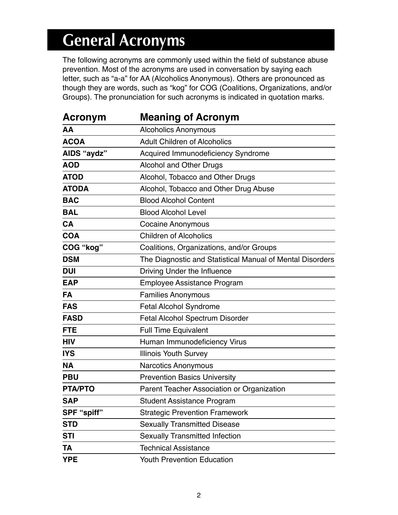## **General Acronyms**

The following acronyms are commonly used within the field of substance abuse prevention. Most of the acronyms are used in conversation by saying each letter, such as "a-a" for AA (Alcoholics Anonymous). Others are pronounced as though they are words, such as "kog" for COG (Coalitions, Organizations, and/or Groups). The pronunciation for such acronyms is indicated in quotation marks.

| Acronym        | <b>Meaning of Acronym</b>                                 |
|----------------|-----------------------------------------------------------|
| AA             | <b>Alcoholics Anonymous</b>                               |
| <b>ACOA</b>    | <b>Adult Children of Alcoholics</b>                       |
| AIDS "aydz"    | Acquired Immunodeficiency Syndrome                        |
| <b>AOD</b>     | <b>Alcohol and Other Drugs</b>                            |
| <b>ATOD</b>    | Alcohol, Tobacco and Other Drugs                          |
| <b>ATODA</b>   | Alcohol, Tobacco and Other Drug Abuse                     |
| <b>BAC</b>     | <b>Blood Alcohol Content</b>                              |
| <b>BAL</b>     | <b>Blood Alcohol Level</b>                                |
| <b>CA</b>      | <b>Cocaine Anonymous</b>                                  |
| <b>COA</b>     | <b>Children of Alcoholics</b>                             |
| COG "kog"      | Coalitions, Organizations, and/or Groups                  |
| <b>DSM</b>     | The Diagnostic and Statistical Manual of Mental Disorders |
| <b>DUI</b>     | Driving Under the Influence                               |
| <b>EAP</b>     | Employee Assistance Program                               |
| <b>FA</b>      | <b>Families Anonymous</b>                                 |
| <b>FAS</b>     | Fetal Alcohol Syndrome                                    |
| <b>FASD</b>    | Fetal Alcohol Spectrum Disorder                           |
| <b>FTE</b>     | <b>Full Time Equivalent</b>                               |
| <b>HIV</b>     | Human Immunodeficiency Virus                              |
| <b>IYS</b>     | <b>Illinois Youth Survey</b>                              |
| <b>NA</b>      | <b>Narcotics Anonymous</b>                                |
| <b>PBU</b>     | <b>Prevention Basics University</b>                       |
| <b>PTA/PTO</b> | Parent Teacher Association or Organization                |
| <b>SAP</b>     | <b>Student Assistance Program</b>                         |
| SPF "spiff"    | <b>Strategic Prevention Framework</b>                     |
| <b>STD</b>     | <b>Sexually Transmitted Disease</b>                       |
| <b>STI</b>     | <b>Sexually Transmitted Infection</b>                     |
| TA             | <b>Technical Assistance</b>                               |
| <b>YPE</b>     | <b>Youth Prevention Education</b>                         |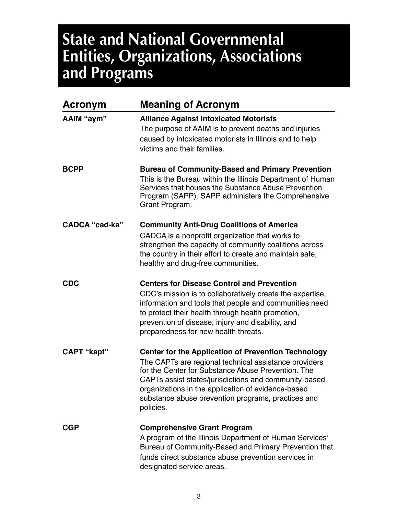### **State and National Governmental Entities, Organizations, Associations and Programs**

| <b>Acronym</b>        | <b>Meaning of Acronym</b>                                                                                                                                                                                                                                                                                                                                   |
|-----------------------|-------------------------------------------------------------------------------------------------------------------------------------------------------------------------------------------------------------------------------------------------------------------------------------------------------------------------------------------------------------|
| AAIM "aym"            | <b>Alliance Against Intoxicated Motorists</b><br>The purpose of AAIM is to prevent deaths and injuries<br>caused by intoxicated motorists in Illinois and to help<br>victims and their families.                                                                                                                                                            |
| <b>BCPP</b>           | <b>Bureau of Community-Based and Primary Prevention</b><br>This is the Bureau within the Illinois Department of Human<br>Services that houses the Substance Abuse Prevention<br>Program (SAPP). SAPP administers the Comprehensive<br>Grant Program.                                                                                                        |
| <b>CADCA "cad-ka"</b> | <b>Community Anti-Drug Coalitions of America</b><br>CADCA is a nonprofit organization that works to<br>strengthen the capacity of community coalitions across<br>the country in their effort to create and maintain safe,<br>healthy and drug-free communities.                                                                                             |
| <b>CDC</b>            | <b>Centers for Disease Control and Prevention</b><br>CDC's mission is to collaboratively create the expertise,<br>information and tools that people and communities need<br>to protect their health through health promotion,<br>prevention of disease, injury and disability, and<br>preparedness for new health threats.                                  |
| <b>CAPT "kapt"</b>    | <b>Center for the Application of Prevention Technology</b><br>The CAPTs are regional technical assistance providers<br>for the Center for Substance Abuse Prevention. The<br>CAPTs assist states/jurisdictions and community-based<br>organizations in the application of evidence-based<br>substance abuse prevention programs, practices and<br>policies. |
| <b>CGP</b>            | <b>Comprehensive Grant Program</b><br>A program of the Illinois Department of Human Services'<br>Bureau of Community-Based and Primary Prevention that<br>funds direct substance abuse prevention services in<br>designated service areas.                                                                                                                  |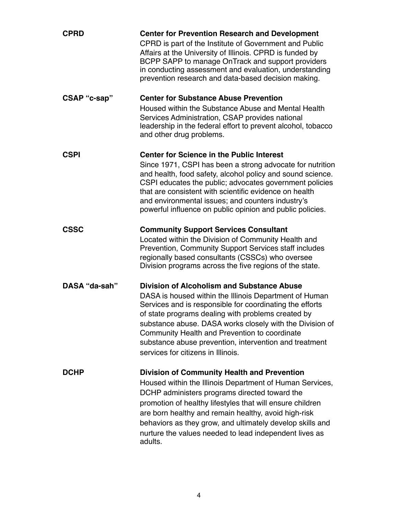| <b>CPRD</b>   | <b>Center for Prevention Research and Development</b><br>CPRD is part of the Institute of Government and Public<br>Affairs at the University of Illinois. CPRD is funded by<br>BCPP SAPP to manage OnTrack and support providers<br>in conducting assessment and evaluation, understanding<br>prevention research and data-based decision making.                                                                                          |
|---------------|--------------------------------------------------------------------------------------------------------------------------------------------------------------------------------------------------------------------------------------------------------------------------------------------------------------------------------------------------------------------------------------------------------------------------------------------|
| CSAP "c-sap"  | <b>Center for Substance Abuse Prevention</b><br>Housed within the Substance Abuse and Mental Health<br>Services Administration, CSAP provides national<br>leadership in the federal effort to prevent alcohol, tobacco<br>and other drug problems.                                                                                                                                                                                         |
| <b>CSPI</b>   | <b>Center for Science in the Public Interest</b><br>Since 1971, CSPI has been a strong advocate for nutrition<br>and health, food safety, alcohol policy and sound science.<br>CSPI educates the public; advocates government policies<br>that are consistent with scientific evidence on health<br>and environmental issues; and counters industry's<br>powerful influence on public opinion and public policies.                         |
| <b>CSSC</b>   | <b>Community Support Services Consultant</b><br>Located within the Division of Community Health and<br>Prevention, Community Support Services staff includes<br>regionally based consultants (CSSCs) who oversee<br>Division programs across the five regions of the state.                                                                                                                                                                |
| DASA "da-sah" | <b>Division of Alcoholism and Substance Abuse</b><br>DASA is housed within the Illinois Department of Human<br>Services and is responsible for coordinating the efforts<br>of state programs dealing with problems created by<br>substance abuse. DASA works closely with the Division of<br>Community Health and Prevention to coordinate<br>substance abuse prevention, intervention and treatment<br>services for citizens in Illinois. |
| <b>DCHP</b>   | <b>Division of Community Health and Prevention</b><br>Housed within the Illinois Department of Human Services,<br>DCHP administers programs directed toward the<br>promotion of healthy lifestyles that will ensure children<br>are born healthy and remain healthy, avoid high-risk<br>behaviors as they grow, and ultimately develop skills and<br>nurture the values needed to lead independent lives as<br>adults.                     |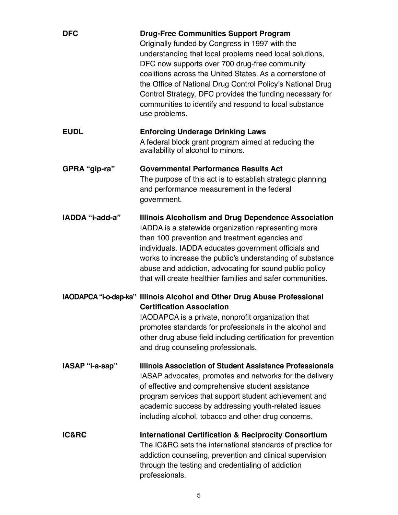| <b>DFC</b>      | <b>Drug-Free Communities Support Program</b><br>Originally funded by Congress in 1997 with the<br>understanding that local problems need local solutions,<br>DFC now supports over 700 drug-free community<br>coalitions across the United States. As a cornerstone of<br>the Office of National Drug Control Policy's National Drug<br>Control Strategy, DFC provides the funding necessary for<br>communities to identify and respond to local substance<br>use problems. |
|-----------------|-----------------------------------------------------------------------------------------------------------------------------------------------------------------------------------------------------------------------------------------------------------------------------------------------------------------------------------------------------------------------------------------------------------------------------------------------------------------------------|
| <b>EUDL</b>     | <b>Enforcing Underage Drinking Laws</b><br>A federal block grant program aimed at reducing the<br>availability of alcohol to minors.                                                                                                                                                                                                                                                                                                                                        |
| GPRA "gip-ra"   | <b>Governmental Performance Results Act</b><br>The purpose of this act is to establish strategic planning<br>and performance measurement in the federal<br>government.                                                                                                                                                                                                                                                                                                      |
| IADDA "i-add-a" | <b>Illinois Alcoholism and Drug Dependence Association</b><br>IADDA is a statewide organization representing more<br>than 100 prevention and treatment agencies and<br>individuals. IADDA educates government officials and<br>works to increase the public's understanding of substance<br>abuse and addiction, advocating for sound public policy<br>that will create healthier families and safer communities.                                                           |
|                 | IAODAPCA "i-o-dap-ka" Illinois Alcohol and Other Drug Abuse Professional<br><b>Certification Association</b><br>IAODAPCA is a private, nonprofit organization that<br>promotes standards for professionals in the alcohol and<br>other drug abuse field including certification for prevention<br>and drug counseling professionals.                                                                                                                                        |
| IASAP "i-a-sap" | Illinois Association of Student Assistance Professionals<br>IASAP advocates, promotes and networks for the delivery<br>of effective and comprehensive student assistance<br>program services that support student achievement and<br>academic success by addressing youth-related issues<br>including alcohol, tobacco and other drug concerns.                                                                                                                             |
| IC&RC           | <b>International Certification &amp; Reciprocity Consortium</b><br>The IC&RC sets the international standards of practice for<br>addiction counseling, prevention and clinical supervision<br>through the testing and credentialing of addiction<br>professionals.                                                                                                                                                                                                          |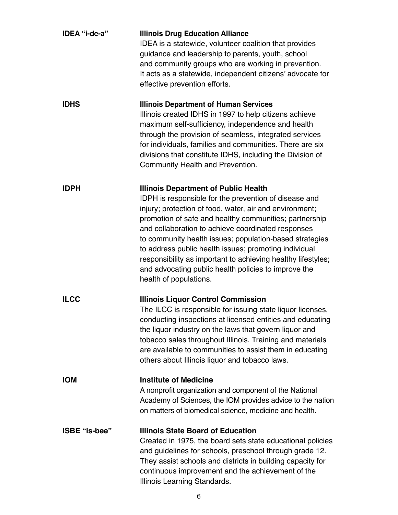| IDEA "i-de-a" | <b>Illinois Drug Education Alliance</b><br>IDEA is a statewide, volunteer coalition that provides<br>guidance and leadership to parents, youth, school<br>and community groups who are working in prevention.<br>It acts as a statewide, independent citizens' advocate for<br>effective prevention efforts.                                                                                                                                                                                                                                          |
|---------------|-------------------------------------------------------------------------------------------------------------------------------------------------------------------------------------------------------------------------------------------------------------------------------------------------------------------------------------------------------------------------------------------------------------------------------------------------------------------------------------------------------------------------------------------------------|
| <b>IDHS</b>   | <b>Illinois Department of Human Services</b><br>Illinois created IDHS in 1997 to help citizens achieve<br>maximum self-sufficiency, independence and health<br>through the provision of seamless, integrated services<br>for individuals, families and communities. There are six<br>divisions that constitute IDHS, including the Division of<br>Community Health and Prevention.                                                                                                                                                                    |
| <b>IDPH</b>   | <b>Illinois Department of Public Health</b><br>IDPH is responsible for the prevention of disease and<br>injury; protection of food, water, air and environment;<br>promotion of safe and healthy communities; partnership<br>and collaboration to achieve coordinated responses<br>to community health issues; population-based strategies<br>to address public health issues; promoting individual<br>responsibility as important to achieving healthy lifestyles;<br>and advocating public health policies to improve the<br>health of populations. |
| <b>ILCC</b>   | <b>Illinois Liquor Control Commission</b><br>The ILCC is responsible for issuing state liquor licenses,<br>conducting inspections at licensed entities and educating<br>the liquor industry on the laws that govern liquor and<br>tobacco sales throughout Illinois. Training and materials<br>are available to communities to assist them in educating<br>others about Illinois liquor and tobacco laws.                                                                                                                                             |
| <b>IOM</b>    | <b>Institute of Medicine</b><br>A nonprofit organization and component of the National<br>Academy of Sciences, the IOM provides advice to the nation<br>on matters of biomedical science, medicine and health.                                                                                                                                                                                                                                                                                                                                        |
| ISBE "is-bee" | <b>Illinois State Board of Education</b><br>Created in 1975, the board sets state educational policies<br>and guidelines for schools, preschool through grade 12.<br>They assist schools and districts in building capacity for<br>continuous improvement and the achievement of the<br>Illinois Learning Standards.                                                                                                                                                                                                                                  |

6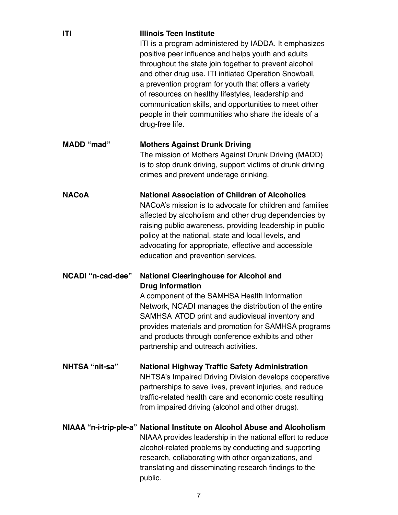| ITI                   | <b>Illinois Teen Institute</b><br>ITI is a program administered by IADDA. It emphasizes<br>positive peer influence and helps youth and adults<br>throughout the state join together to prevent alcohol<br>and other drug use. ITI initiated Operation Snowball,<br>a prevention program for youth that offers a variety<br>of resources on healthy lifestyles, leadership and<br>communication skills, and opportunities to meet other<br>people in their communities who share the ideals of a<br>drug-free life. |
|-----------------------|--------------------------------------------------------------------------------------------------------------------------------------------------------------------------------------------------------------------------------------------------------------------------------------------------------------------------------------------------------------------------------------------------------------------------------------------------------------------------------------------------------------------|
| <b>MADD</b> "mad"     | <b>Mothers Against Drunk Driving</b><br>The mission of Mothers Against Drunk Driving (MADD)<br>is to stop drunk driving, support victims of drunk driving<br>crimes and prevent underage drinking.                                                                                                                                                                                                                                                                                                                 |
| <b>NACoA</b>          | <b>National Association of Children of Alcoholics</b><br>NACoA's mission is to advocate for children and families<br>affected by alcoholism and other drug dependencies by<br>raising public awareness, providing leadership in public<br>policy at the national, state and local levels, and<br>advocating for appropriate, effective and accessible<br>education and prevention services.                                                                                                                        |
| NCADI "n-cad-dee"     | <b>National Clearinghouse for Alcohol and</b><br><b>Drug Information</b><br>A component of the SAMHSA Health Information<br>Network, NCADI manages the distribution of the entire<br>SAMHSA ATOD print and audiovisual inventory and<br>provides materials and promotion for SAMHSA programs<br>and products through conference exhibits and other<br>partnership and outreach activities.                                                                                                                         |
| <b>NHTSA "nit-sa"</b> | <b>National Highway Traffic Safety Administration</b><br>NHTSA's Impaired Driving Division develops cooperative<br>partnerships to save lives, prevent injuries, and reduce<br>traffic-related health care and economic costs resulting<br>from impaired driving (alcohol and other drugs).                                                                                                                                                                                                                        |
|                       | NIAAA "n-i-trip-ple-a" National Institute on Alcohol Abuse and Alcoholism<br>NIAAA provides leadership in the national effort to reduce<br>alcohol-related problems by conducting and supporting<br>research, collaborating with other organizations, and<br>translating and disseminating research findings to the<br>public.                                                                                                                                                                                     |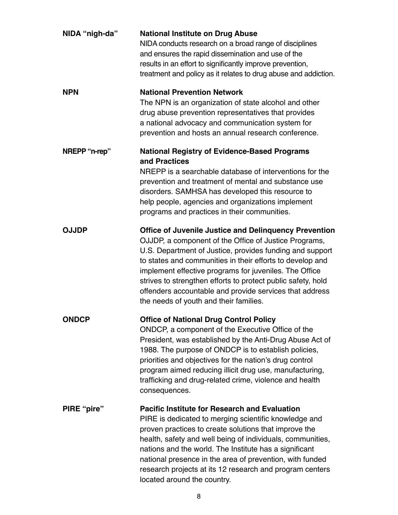| NIDA "nigh-da" | <b>National Institute on Drug Abuse</b><br>NIDA conducts research on a broad range of disciplines<br>and ensures the rapid dissemination and use of the<br>results in an effort to significantly improve prevention,<br>treatment and policy as it relates to drug abuse and addiction.                                                                                                                                                                                       |
|----------------|-------------------------------------------------------------------------------------------------------------------------------------------------------------------------------------------------------------------------------------------------------------------------------------------------------------------------------------------------------------------------------------------------------------------------------------------------------------------------------|
| <b>NPN</b>     | <b>National Prevention Network</b><br>The NPN is an organization of state alcohol and other<br>drug abuse prevention representatives that provides<br>a national advocacy and communication system for<br>prevention and hosts an annual research conference.                                                                                                                                                                                                                 |
| NREPP "n-rep"  | <b>National Registry of Evidence-Based Programs</b><br>and Practices<br>NREPP is a searchable database of interventions for the<br>prevention and treatment of mental and substance use<br>disorders. SAMHSA has developed this resource to<br>help people, agencies and organizations implement<br>programs and practices in their communities.                                                                                                                              |
| <b>OJJDP</b>   | <b>Office of Juvenile Justice and Delinguency Prevention</b><br>OJJDP, a component of the Office of Justice Programs,<br>U.S. Department of Justice, provides funding and support<br>to states and communities in their efforts to develop and<br>implement effective programs for juveniles. The Office<br>strives to strengthen efforts to protect public safety, hold<br>offenders accountable and provide services that address<br>the needs of youth and their families. |
| <b>ONDCP</b>   | <b>Office of National Drug Control Policy</b><br>ONDCP, a component of the Executive Office of the<br>President, was established by the Anti-Drug Abuse Act of<br>1988. The purpose of ONDCP is to establish policies,<br>priorities and objectives for the nation's drug control<br>program aimed reducing illicit drug use, manufacturing,<br>trafficking and drug-related crime, violence and health<br>consequences.                                                      |
| PIRE "pire"    | <b>Pacific Institute for Research and Evaluation</b><br>PIRE is dedicated to merging scientific knowledge and<br>proven practices to create solutions that improve the<br>health, safety and well being of individuals, communities,<br>nations and the world. The Institute has a significant<br>national presence in the area of prevention, with funded<br>research projects at its 12 research and program centers<br>located around the country.                         |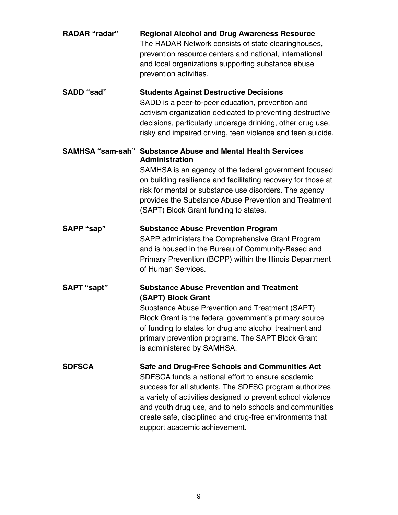| <b>RADAR</b> "radar" | <b>Regional Alcohol and Drug Awareness Resource</b><br>The RADAR Network consists of state clearinghouses,<br>prevention resource centers and national, international<br>and local organizations supporting substance abuse<br>prevention activities.                                                                                                                                |
|----------------------|--------------------------------------------------------------------------------------------------------------------------------------------------------------------------------------------------------------------------------------------------------------------------------------------------------------------------------------------------------------------------------------|
| SADD "sad"           | <b>Students Against Destructive Decisions</b><br>SADD is a peer-to-peer education, prevention and<br>activism organization dedicated to preventing destructive<br>decisions, particularly underage drinking, other drug use,<br>risky and impaired driving, teen violence and teen suicide.                                                                                          |
|                      | <b>SAMHSA "sam-sah" Substance Abuse and Mental Health Services</b><br><b>Administration</b><br>SAMHSA is an agency of the federal government focused<br>on building resilience and facilitating recovery for those at<br>risk for mental or substance use disorders. The agency<br>provides the Substance Abuse Prevention and Treatment<br>(SAPT) Block Grant funding to states.    |
| SAPP "sap"           | <b>Substance Abuse Prevention Program</b><br>SAPP administers the Comprehensive Grant Program<br>and is housed in the Bureau of Community-Based and<br>Primary Prevention (BCPP) within the Illinois Department<br>of Human Services.                                                                                                                                                |
| SAPT "sapt"          | <b>Substance Abuse Prevention and Treatment</b><br>(SAPT) Block Grant<br>Substance Abuse Prevention and Treatment (SAPT)<br>Block Grant is the federal government's primary source<br>of funding to states for drug and alcohol treatment and<br>primary prevention programs. The SAPT Block Grant<br>is administered by SAMHSA.                                                     |
| <b>SDFSCA</b>        | Safe and Drug-Free Schools and Communities Act<br>SDFSCA funds a national effort to ensure academic<br>success for all students. The SDFSC program authorizes<br>a variety of activities designed to prevent school violence<br>and youth drug use, and to help schools and communities<br>create safe, disciplined and drug-free environments that<br>support academic achievement. |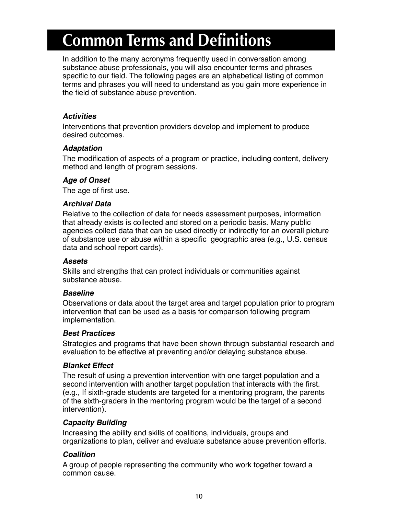## **Common Terms and Definitions**

In addition to the many acronyms frequently used in conversation among substance abuse professionals, you will also encounter terms and phrases specific to our field. The following pages are an alphabetical listing of common terms and phrases you will need to understand as you gain more experience in the field of substance abuse prevention.

#### **Activities**

Interventions that prevention providers develop and implement to produce desired outcomes.

#### **Adaptation**

The modifcation of aspects of a program or practice, including content, delivery method and length of program sessions.

#### **Age of Onset**

The age of first use.

#### **Archival Data**

Relative to the collection of data for needs assessment purposes, information that already exists is collected and stored on a periodic basis. Many public agencies collect data that can be used directly or indirectly for an overall picture of substance use or abuse within a specific geographic area (e.g., U.S. census data and school report cards).

#### **Assets**

Skills and strengths that can protect individuals or communities against substance abuse.

#### **Baseline**

Observations or data about the target area and target population prior to program intervention that can be used as a basis for comparison following program implementation.

#### **Best Practices**

Strategies and programs that have been shown through substantial research and evaluation to be effective at preventing and/or delaying substance abuse.

#### **Blanket Effect**

The result of using a prevention intervention with one target population and a second intervention with another target population that interacts with the frst. (e.g., If sixth-grade students are targeted for a mentoring program, the parents of the sixth-graders in the mentoring program would be the target of a second intervention).

#### **Capacity Building**

Increasing the ability and skills of coalitions, individuals, groups and organizations to plan, deliver and evaluate substance abuse prevention efforts.

#### **Coalition**

A group of people representing the community who work together toward a common cause.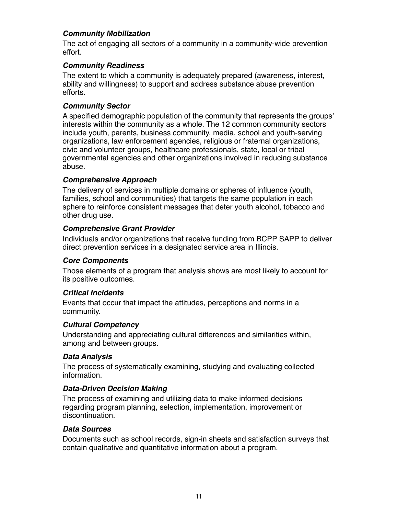#### **Community Mobilization**

The act of engaging all sectors of a community in a community-wide prevention effort.

#### **Community Readiness**

The extent to which a community is adequately prepared (awareness, interest, ability and willingness) to support and address substance abuse prevention efforts.

#### **Community Sector**

A specifed demographic population of the community that represents the groups' interests within the community as a whole. The 12 common community sectors include youth, parents, business community, media, school and youth-serving organizations, law enforcement agencies, religious or fraternal organizations, civic and volunteer groups, healthcare professionals, state, local or tribal governmental agencies and other organizations involved in reducing substance abuse.

#### **Comprehensive Approach**

The delivery of services in multiple domains or spheres of infuence (youth, families, school and communities) that targets the same population in each sphere to reinforce consistent messages that deter youth alcohol, tobacco and other drug use.

#### **Comprehensive Grant Provider**

Individuals and/or organizations that receive funding from BCPP SAPP to deliver direct prevention services in a designated service area in Illinois.

#### **Core Components**

Those elements of a program that analysis shows are most likely to account for its positive outcomes.

#### **Critical Incidents**

Events that occur that impact the attitudes, perceptions and norms in a community.

#### **Cultural Competency**

Understanding and appreciating cultural differences and similarities within, among and between groups.

#### **Data Analysis**

The process of systematically examining, studying and evaluating collected information.

#### **Data-Driven Decision Making**

The process of examining and utilizing data to make informed decisions regarding program planning, selection, implementation, improvement or discontinuation.

#### **Data Sources**

Documents such as school records, sign-in sheets and satisfaction surveys that contain qualitative and quantitative information about a program.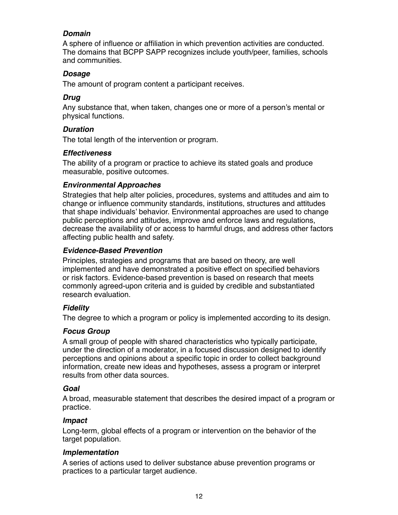#### **Domain**

A sphere of infuence or affliation in which prevention activities are conducted. The domains that BCPP SAPP recognizes include youth/peer, families, schools and communities.

#### **Dosage**

The amount of program content a participant receives.

#### **Drug**

Any substance that, when taken, changes one or more of a person's mental or physical functions.

#### **Duration**

The total length of the intervention or program.

#### **Effectiveness**

The ability of a program or practice to achieve its stated goals and produce measurable, positive outcomes.

#### **Environmental Approaches**

Strategies that help alter policies, procedures, systems and attitudes and aim to change or infuence community standards, institutions, structures and attitudes that shape individuals' behavior. Environmental approaches are used to change public perceptions and attitudes, improve and enforce laws and regulations, decrease the availability of or access to harmful drugs, and address other factors affecting public health and safety.

#### **Evidence-Based Prevention**

Principles, strategies and programs that are based on theory, are well implemented and have demonstrated a positive effect on specifed behaviors or risk factors. Evidence-based prevention is based on research that meets commonly agreed-upon criteria and is guided by credible and substantiated research evaluation.

#### **Fidelity**

The degree to which a program or policy is implemented according to its design.

#### **Focus Group**

A small group of people with shared characteristics who typically participate, under the direction of a moderator, in a focused discussion designed to identify perceptions and opinions about a specifc topic in order to collect background information, create new ideas and hypotheses, assess a program or interpret results from other data sources.

#### **Goal**

A broad, measurable statement that describes the desired impact of a program or practice.

#### **Impact**

Long-term, global effects of a program or intervention on the behavior of the target population.

#### **Implementation**

A series of actions used to deliver substance abuse prevention programs or practices to a particular target audience.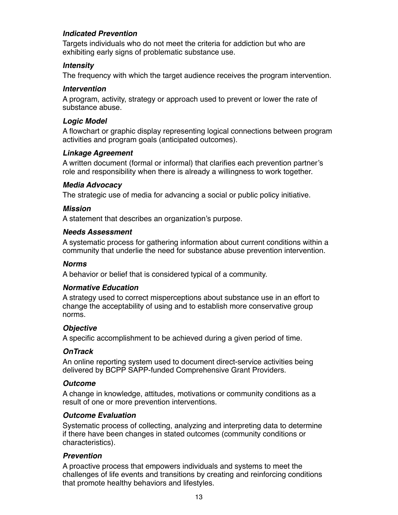#### **Indicated Prevention**

Targets individuals who do not meet the criteria for addiction but who are exhibiting early signs of problematic substance use.

#### **Intensity**

The frequency with which the target audience receives the program intervention.

#### **Intervention**

A program, activity, strategy or approach used to prevent or lower the rate of substance abuse.

#### **Logic Model**

A fowchart or graphic display representing logical connections between program activities and program goals (anticipated outcomes).

#### **Linkage Agreement**

A written document (formal or informal) that clarifes each prevention partner's role and responsibility when there is already a willingness to work together.

#### **Media Advocacy**

The strategic use of media for advancing a social or public policy initiative.

#### **Mission**

A statement that describes an organization's purpose.

#### **Needs Assessment**

A systematic process for gathering information about current conditions within a community that underlie the need for substance abuse prevention intervention.

#### **Norms**

A behavior or belief that is considered typical of a community.

#### **Normative Education**

A strategy used to correct misperceptions about substance use in an effort to change the acceptability of using and to establish more conservative group norms.

#### **Objective**

A specifc accomplishment to be achieved during a given period of time.

#### **OnTrack**

An online reporting system used to document direct-service activities being delivered by BCPP SAPP-funded Comprehensive Grant Providers.

#### **Outcome**

A change in knowledge, attitudes, motivations or community conditions as a result of one or more prevention interventions.

#### **Outcome Evaluation**

Systematic process of collecting, analyzing and interpreting data to determine if there have been changes in stated outcomes (community conditions or characteristics).

#### **Prevention**

A proactive process that empowers individuals and systems to meet the challenges of life events and transitions by creating and reinforcing conditions that promote healthy behaviors and lifestyles.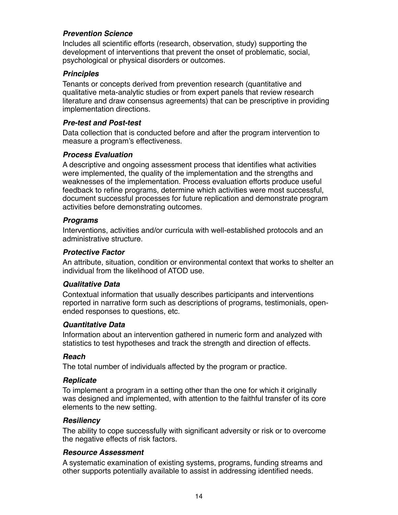#### **Prevention Science**

Includes all scientific efforts (research, observation, study) supporting the development of interventions that prevent the onset of problematic, social, psychological or physical disorders or outcomes.

#### **Principles**

Tenants or concepts derived from prevention research (quantitative and qualitative meta-analytic studies or from expert panels that review research literature and draw consensus agreements) that can be prescriptive in providing implementation directions.

#### **Pre-test and Post-test**

Data collection that is conducted before and after the program intervention to measure a program's effectiveness.

#### **Process Evaluation**

A descriptive and ongoing assessment process that identifes what activities were implemented, the quality of the implementation and the strengths and weaknesses of the implementation. Process evaluation efforts produce useful feedback to refne programs, determine which activities were most successful, document successful processes for future replication and demonstrate program activities before demonstrating outcomes.

#### **Programs**

Interventions, activities and/or curricula with well-established protocols and an administrative structure.

#### **Protective Factor**

An attribute, situation, condition or environmental context that works to shelter an individual from the likelihood of ATOD use.

#### **Qualitative Data**

Contextual information that usually describes participants and interventions reported in narrative form such as descriptions of programs, testimonials, openended responses to questions, etc.

#### **Quantitative Data**

Information about an intervention gathered in numeric form and analyzed with statistics to test hypotheses and track the strength and direction of effects.

#### **Reach**

The total number of individuals affected by the program or practice.

#### **Replicate**

To implement a program in a setting other than the one for which it originally was designed and implemented, with attention to the faithful transfer of its core elements to the new setting.

#### **Resiliency**

The ability to cope successfully with significant adversity or risk or to overcome the negative effects of risk factors.

#### **Resource Assessment**

A systematic examination of existing systems, programs' funding streams and other supports potentially available to assist in addressing identifed needs.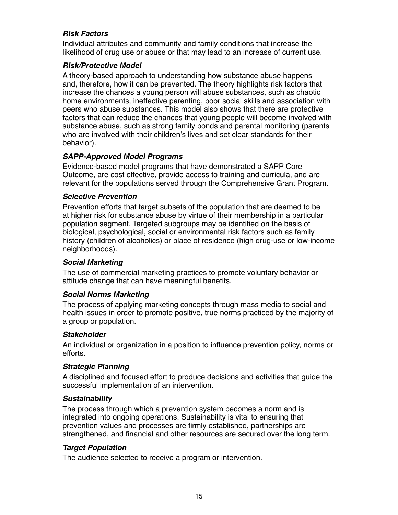#### **Risk Factors**

Individual attributes and community and family conditions that increase the likelihood of drug use or abuse or that may lead to an increase of current use.

#### **Risk/Protective Model**

A theory-based approach to understanding how substance abuse happens and, therefore, how it can be prevented. The theory highlights risk factors that increase the chances a young person will abuse substances, such as chaotic home environments, ineffective parenting, poor social skills and association with peers who abuse substances. This model also shows that there are protective factors that can reduce the chances that young people will become involved with substance abuse, such as strong family bonds and parental monitoring (parents who are involved with their children's lives and set clear standards for their behavior).

#### **SAPP-Approved Model Programs**

Evidence-based model programs that have demonstrated a SAPP Core Outcome, are cost effective, provide access to training and curricula, and are relevant for the populations served through the Comprehensive Grant Program.

#### **Selective Prevention**

Prevention efforts that target subsets of the population that are deemed to be at higher risk for substance abuse by virtue of their membership in a particular population segment. Targeted subgroups may be identifed on the basis of biological, psychological, social or environmental risk factors such as family history (children of alcoholics) or place of residence (high drug-use or low-income neighborhoods).

#### **Social Marketing**

The use of commercial marketing practices to promote voluntary behavior or attitude change that can have meaningful benefits.

#### **Social Norms Marketing**

The process of applying marketing concepts through mass media to social and health issues in order to promote positive, true norms practiced by the majority of a group or population.

#### **Stakeholder**

An individual or organization in a position to infuence prevention policy, norms or efforts.

#### **Strategic Planning**

A disciplined and focused effort to produce decisions and activities that guide the successful implementation of an intervention.

#### **Sustainability**

The process through which a prevention system becomes a norm and is integrated into ongoing operations. Sustainability is vital to ensuring that prevention values and processes are frmly established, partnerships are strengthened, and fnancial and other resources are secured over the long term.

#### **Target Population**

The audience selected to receive a program or intervention.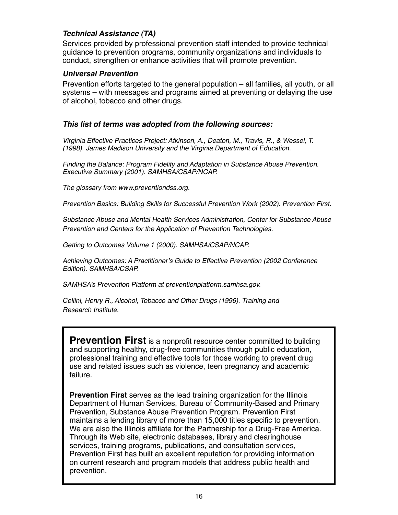#### **Technical Assistance (TA)**

Services provided by professional prevention staff intended to provide technical guidance to prevention programs, community organizations and individuals to conduct, strengthen or enhance activities that will promote prevention.

#### **Universal Prevention**

Prevention efforts targeted to the general population – all families, all youth, or all systems – with messages and programs aimed at preventing or delaying the use of alcohol, tobacco and other drugs.

#### **This list of terms was adopted from the following sources:**

Virginia Effective Practices Project: Atkinson, A., Deaton, M., Travis, R., & Wessel, T. (1998). James Madison University and the Virginia Department of Education.

Finding the Balance: Program Fidelity and Adaptation in Substance Abuse Prevention. Executive Summary (2001). SAMHSA/CSAP/NCAP.

The glossary from www.preventiondss.org.

Prevention Basics: Building Skills for Successful Prevention Work (2002). Prevention First.

Substance Abuse and Mental Health Services Administration, Center for Substance Abuse Prevention and Centers for the Application of Prevention Technologies.

Getting to Outcomes Volume 1 (2000). SAMHSA/CSAP/NCAP.

Achieving Outcomes: A Practitioner's Guide to Effective Prevention (2002 Conference Edition). SAMHSA/CSAP.

SAMHSA's Prevention Platform at preventionplatform.samhsa.gov.

Cellini, Henry R., Alcohol, Tobacco and Other Drugs (1996). Training and Research Institute.

**Prevention First** is a nonprofit resource center committed to building and supporting healthy, drug-free communities through public education, professional training and effective tools for those working to prevent drug use and related issues such as violence, teen pregnancy and academic failure.

**Prevention First** serves as the lead training organization for the Illinois Department of Human Services, Bureau of Community-Based and Primary Prevention, Substance Abuse Prevention Program. Prevention First maintains a lending library of more than 15,000 titles specific to prevention. We are also the Illinois affliate for the Partnership for a Drug-Free America. Through its Web site, electronic databases, library and clearinghouse services, training programs, publications, and consultation services, Prevention First has built an excellent reputation for providing information on current research and program models that address public health and prevention.